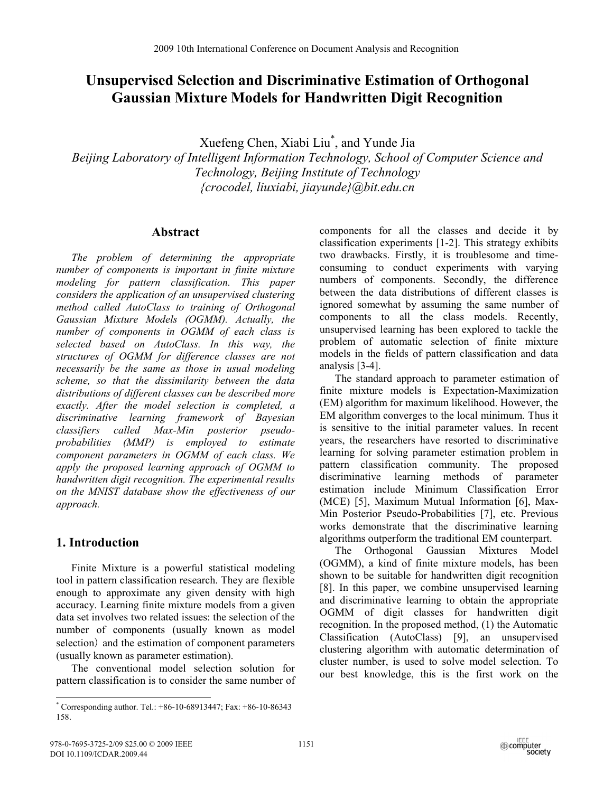# **Unsupervised Selection and Discriminative Estimation of Orthogonal Gaussian Mixture Models for Handwritten Digit Recognition**

Xuefeng Chen, Xiabi Liu\* , and Yunde Jia

*Beijing Laboratory of Intelligent Information Technology, School of Computer Science and Technology, Beijing Institute of Technology {crocodel, liuxiabi, jiayunde}@bit.edu.cn* 

### **Abstract**

*The problem of determining the appropriate number of components is important in finite mixture modeling for pattern classification. This paper considers the application of an unsupervised clustering method called AutoClass to training of Orthogonal Gaussian Mixture Models (OGMM). Actually, the number of components in OGMM of each class is selected based on AutoClass. In this way, the structures of OGMM for difference classes are not necessarily be the same as those in usual modeling scheme, so that the dissimilarity between the data distributions of different classes can be described more exactly. After the model selection is completed, a discriminative learning framework of Bayesian classifiers called Max-Min posterior pseudoprobabilities (MMP) is employed to estimate component parameters in OGMM of each class. We apply the proposed learning approach of OGMM to handwritten digit recognition. The experimental results on the MNIST database show the effectiveness of our approach.* 

# **1. Introduction**

<u>.</u>

Finite Mixture is a powerful statistical modeling tool in pattern classification research. They are flexible enough to approximate any given density with high accuracy. Learning finite mixture models from a given data set involves two related issues: the selection of the number of components (usually known as model selection) and the estimation of component parameters (usually known as parameter estimation).

The conventional model selection solution for pattern classification is to consider the same number of components for all the classes and decide it by classification experiments [1-2]. This strategy exhibits two drawbacks. Firstly, it is troublesome and timeconsuming to conduct experiments with varying numbers of components. Secondly, the difference between the data distributions of different classes is ignored somewhat by assuming the same number of components to all the class models. Recently, unsupervised learning has been explored to tackle the problem of automatic selection of finite mixture models in the fields of pattern classification and data analysis [3-4].

The standard approach to parameter estimation of finite mixture models is Expectation-Maximization (EM) algorithm for maximum likelihood. However, the EM algorithm converges to the local minimum. Thus it is sensitive to the initial parameter values. In recent years, the researchers have resorted to discriminative learning for solving parameter estimation problem in pattern classification community. The proposed discriminative learning methods of parameter estimation include Minimum Classification Error (MCE) [5], Maximum Mutual Information [6], Max-Min Posterior Pseudo-Probabilities [7], etc. Previous works demonstrate that the discriminative learning algorithms outperform the traditional EM counterpart.

The Orthogonal Gaussian Mixtures Model (OGMM), a kind of finite mixture models, has been shown to be suitable for handwritten digit recognition [8]. In this paper, we combine unsupervised learning and discriminative learning to obtain the appropriate OGMM of digit classes for handwritten digit recognition. In the proposed method, (1) the Automatic Classification (AutoClass) [9], an unsupervised clustering algorithm with automatic determination of cluster number, is used to solve model selection. To our best knowledge, this is the first work on the

<sup>\*</sup> Corresponding author. Tel.: +86-10-68913447; Fax: +86-10-86343 158.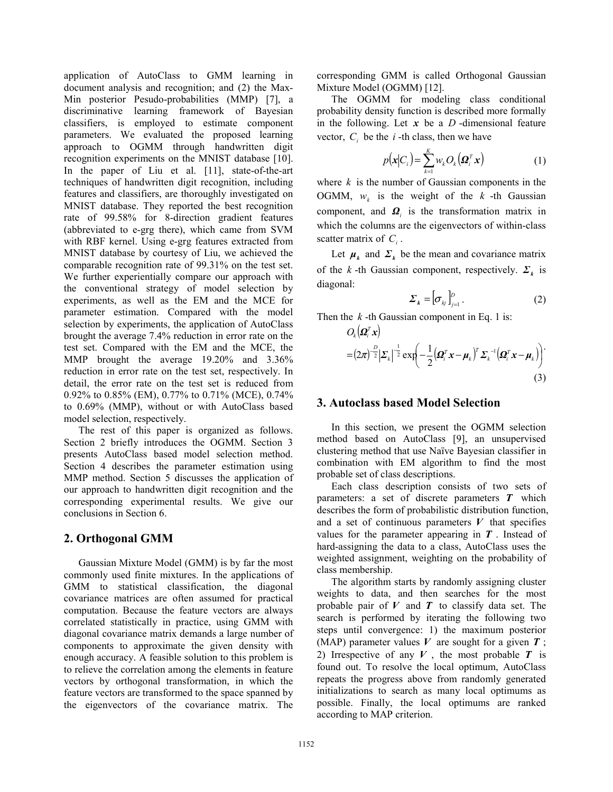application of AutoClass to GMM learning in document analysis and recognition; and (2) the Max-Min posterior Pesudo-probabilities (MMP) [7], a discriminative learning framework of Bayesian classifiers, is employed to estimate component parameters. We evaluated the proposed learning approach to OGMM through handwritten digit recognition experiments on the MNIST database [10]. In the paper of Liu et al. [11], state-of-the-art techniques of handwritten digit recognition, including features and classifiers, are thoroughly investigated on MNIST database. They reported the best recognition rate of 99.58% for 8-direction gradient features (abbreviated to e-grg there), which came from SVM with RBF kernel. Using e-grg features extracted from MNIST database by courtesy of Liu, we achieved the comparable recognition rate of 99.31% on the test set. We further experientially compare our approach with the conventional strategy of model selection by experiments, as well as the EM and the MCE for parameter estimation. Compared with the model selection by experiments, the application of AutoClass brought the average 7.4% reduction in error rate on the test set. Compared with the EM and the MCE, the MMP brought the average 19.20% and 3.36% reduction in error rate on the test set, respectively. In detail, the error rate on the test set is reduced from 0.92% to 0.85% (EM), 0.77% to 0.71% (MCE), 0.74% to 0.69% (MMP), without or with AutoClass based model selection, respectively.

The rest of this paper is organized as follows. Section 2 briefly introduces the OGMM. Section 3 presents AutoClass based model selection method. Section 4 describes the parameter estimation using MMP method. Section 5 discusses the application of our approach to handwritten digit recognition and the corresponding experimental results. We give our conclusions in Section 6.

### **2. Orthogonal GMM**

Gaussian Mixture Model (GMM) is by far the most commonly used finite mixtures. In the applications of GMM to statistical classification, the diagonal covariance matrices are often assumed for practical computation. Because the feature vectors are always correlated statistically in practice, using GMM with diagonal covariance matrix demands a large number of components to approximate the given density with enough accuracy. A feasible solution to this problem is to relieve the correlation among the elements in feature vectors by orthogonal transformation, in which the feature vectors are transformed to the space spanned by the eigenvectors of the covariance matrix. The

corresponding GMM is called Orthogonal Gaussian Mixture Model (OGMM) [12].

The OGMM for modeling class conditional probability density function is described more formally in the following. Let *x* be a *D* -dimensional feature vector,  $C_i$  be the  $i$ -th class, then we have

$$
p(\mathbf{x}|C_i) = \sum_{k=1}^{K} w_k O_k(\mathbf{\Omega}_i^T \mathbf{x})
$$
 (1)

where *k* is the number of Gaussian components in the OGMM,  $w_k$  is the weight of the  $k$ -th Gaussian component, and *Ωi* is the transformation matrix in which the columns are the eigenvectors of within-class scatter matrix of  $C_i$ .

Let  $\mu_k$  and  $\Sigma_k$  be the mean and covariance matrix of the *k* -th Gaussian component, respectively.  $\Sigma_k$  is diagonal:

$$
\Sigma_{k} = \left[\sigma_{kj}\right]_{j=1}^{D}.
$$
 (2)

Then the *k* -th Gaussian component in Eq. 1 is:

$$
O_k(\boldsymbol{\Omega}_i^T \boldsymbol{x})
$$
  
=  $(2\pi)^{-\frac{D}{2}} |\boldsymbol{\Sigma}_k|^{-\frac{1}{2}} \exp\left(-\frac{1}{2} (\boldsymbol{\Omega}_i^T \boldsymbol{x} - \boldsymbol{\mu}_k)^T \boldsymbol{\Sigma}_k^{-1} (\boldsymbol{\Omega}_i^T \boldsymbol{x} - \boldsymbol{\mu}_k)\right)$  (3)

### **3. Autoclass based Model Selection**

In this section, we present the OGMM selection method based on AutoClass [9], an unsupervised clustering method that use Naïve Bayesian classifier in combination with EM algorithm to find the most probable set of class descriptions.

Each class description consists of two sets of parameters: a set of discrete parameters *T* which describes the form of probabilistic distribution function, and a set of continuous parameters  $V$  that specifies values for the parameter appearing in *T* . Instead of hard-assigning the data to a class, AutoClass uses the weighted assignment, weighting on the probability of class membership.

The algorithm starts by randomly assigning cluster weights to data, and then searches for the most probable pair of  $V$  and  $T$  to classify data set. The search is performed by iterating the following two steps until convergence: 1) the maximum posterior (MAP) parameter values  $V$  are sought for a given  $T$ ; 2) Irrespective of any  $V$ , the most probable  $T$  is found out. To resolve the local optimum, AutoClass repeats the progress above from randomly generated initializations to search as many local optimums as possible. Finally, the local optimums are ranked according to MAP criterion.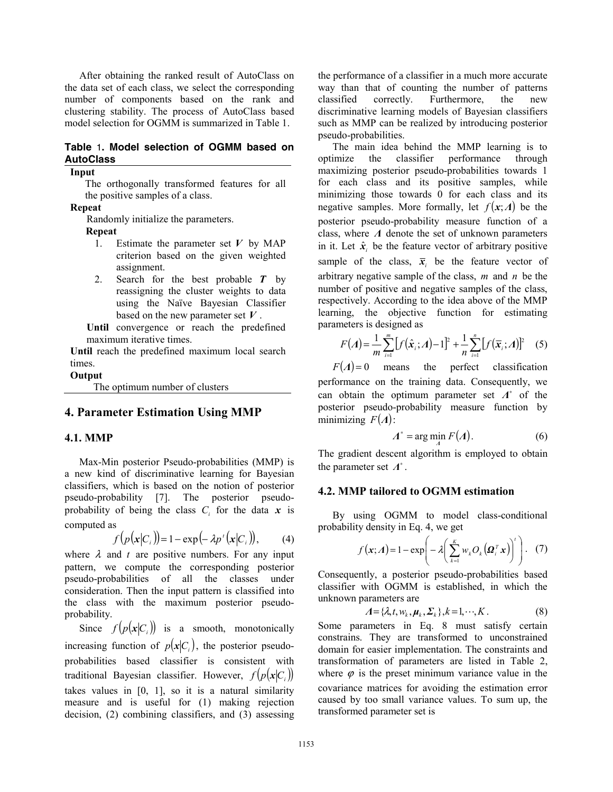After obtaining the ranked result of AutoClass on the data set of each class, we select the corresponding number of components based on the rank and clustering stability. The process of AutoClass based model selection for OGMM is summarized in Table 1.

#### **Table** 1**. Model selection of OGMM based on AutoClass**

**Input** 

The orthogonally transformed features for all the positive samples of a class.

#### **Repeat**

Randomly initialize the parameters.

#### **Repeat**

- 1. Estimate the parameter set *V* by MAP criterion based on the given weighted assignment.
- 2. Search for the best probable *T* by reassigning the cluster weights to data using the Naïve Bayesian Classifier based on the new parameter set *V* .

**Until** convergence or reach the predefined maximum iterative times.

**Until** reach the predefined maximum local search times.

#### **Output**

The optimum number of clusters

### **4. Parameter Estimation Using MMP**

#### **4.1. MMP**

Max-Min posterior Pseudo-probabilities (MMP) is a new kind of discriminative learning for Bayesian classifiers, which is based on the notion of posterior pseudo-probability [7]. The posterior pseudoprobability of being the class  $C_i$  for the data  $x$  is computed as

$$
f(p(\mathbf{x}|C_i)) = 1 - \exp(-\lambda p'(\mathbf{x}|C_i)), \quad (4)
$$

where  $\lambda$  and  $t$  are positive numbers. For any input pattern, we compute the corresponding posterior pseudo-probabilities of all the classes under consideration. Then the input pattern is classified into the class with the maximum posterior pseudoprobability.

Since  $f(p(\mathbf{x}|C_i))$  is a smooth, monotonically increasing function of  $p(x|C)$ , the posterior pseudoprobabilities based classifier is consistent with traditional Bayesian classifier. However,  $f(p(x|C_i))$ takes values in  $[0, 1]$ , so it is a natural similarity measure and is useful for (1) making rejection decision, (2) combining classifiers, and (3) assessing the performance of a classifier in a much more accurate way than that of counting the number of patterns classified correctly. Furthermore, the new discriminative learning models of Bayesian classifiers such as MMP can be realized by introducing posterior pseudo-probabilities.

The main idea behind the MMP learning is to optimize the classifier performance through maximizing posterior pseudo-probabilities towards 1 for each class and its positive samples, while minimizing those towards 0 for each class and its negative samples. More formally, let  $f(x; \Lambda)$  be the posterior pseudo-probability measure function of a class, where *Λ* denote the set of unknown parameters in it. Let  $\hat{x}$  be the feature vector of arbitrary positive sample of the class,  $\bar{x}$  be the feature vector of arbitrary negative sample of the class, *m* and *n* be the number of positive and negative samples of the class, respectively. According to the idea above of the MMP learning, the objective function for estimating parameters is designed as

$$
F(A) = \frac{1}{m} \sum_{i=1}^{m} \left[ f(\hat{x}_i; A) - 1 \right]^2 + \frac{1}{n} \sum_{i=1}^{n} \left[ f(\overline{x}_i; A) \right]^2 \quad (5)
$$

 $F(A)=0$  means the perfect classification performance on the training data. Consequently, we can obtain the optimum parameter set  $Λ^*$  of the posterior pseudo-probability measure function by minimizing  $F(A)$ :

$$
A^* = \arg\min_A F(A). \tag{6}
$$

The gradient descent algorithm is employed to obtain the parameter set  $\Lambda^*$ .

#### **4.2. MMP tailored to OGMM estimation**

By using OGMM to model class-conditional probability density in Eq. 4, we get

$$
f(\mathbf{x}; A) = 1 - \exp\left(-\lambda \left(\sum_{k=1}^{K} w_k O_k(\mathbf{\Omega}_i^T \mathbf{x})\right)^t\right). \quad (7)
$$

Consequently, a posterior pseudo-probabilities based classifier with OGMM is established, in which the unknown parameters are

$$
\Lambda = \{\lambda, t, w_k, \boldsymbol{\mu}_k, \boldsymbol{\Sigma}_k\}, k = 1, \cdots, K. \tag{8}
$$

Some parameters in Eq. 8 must satisfy certain constrains. They are transformed to unconstrained domain for easier implementation. The constraints and transformation of parameters are listed in Table 2, where  $\varphi$  is the preset minimum variance value in the covariance matrices for avoiding the estimation error caused by too small variance values. To sum up, the transformed parameter set is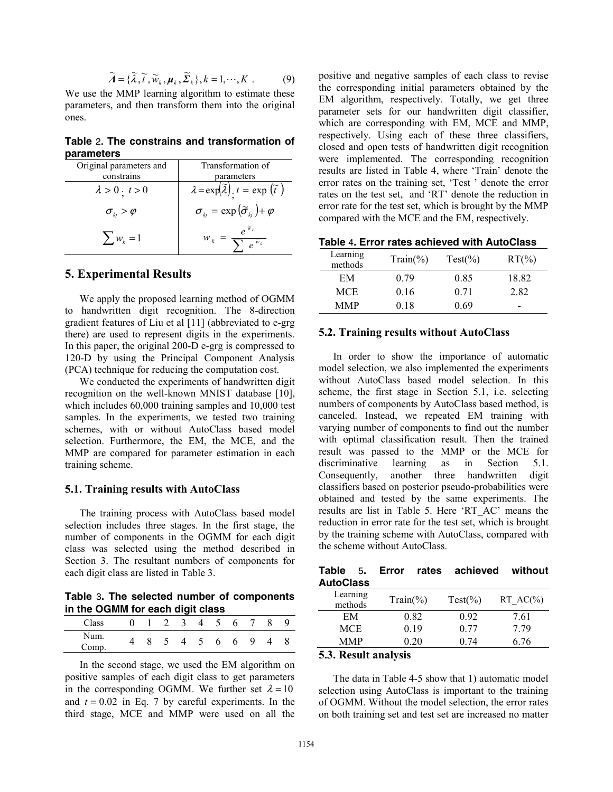$$
\widetilde{A} = \{\widetilde{\lambda}, \widetilde{t}, \widetilde{w}_k, \mu_k, \widetilde{\Sigma}_k\}, k = 1, \cdots, K .
$$
 (9)

We use the MMP learning algorithm to estimate these parameters, and then transform them into the original ones.

**Table** 2**. The constrains and transformation of parameters** 

| Original parameters and    | Transformation of                                                        |
|----------------------------|--------------------------------------------------------------------------|
| constrains                 | parameters                                                               |
| $\lambda > 0$ . $t > 0$    | $\lambda = \exp(\tilde{\lambda})$ . $t = \exp(\tilde{t})$                |
| $\sigma_{_{ki}} > \varphi$ | $\sigma_{_{kj}} = \exp(\widetilde{\sigma}_{_{ki}}) + \varphi$            |
| $\sum_{k=1}^{n} w_k = 1$   | $e^{\tilde{w}_k}$<br>$W_k = \frac{1}{2}$<br>$\overline{e^{\tilde{w}_k}}$ |

### **5. Experimental Results**

We apply the proposed learning method of OGMM to handwritten digit recognition. The 8-direction gradient features of Liu et al [11] (abbreviated to e-grg there) are used to represent digits in the experiments. In this paper, the original 200-D e-grg is compressed to 120-D by using the Principal Component Analysis (PCA) technique for reducing the computation cost.

We conducted the experiments of handwritten digit recognition on the well-known MNIST database [10], which includes 60,000 training samples and 10,000 test samples. In the experiments, we tested two training schemes, with or without AutoClass based model selection. Furthermore, the EM, the MCE, and the MMP are compared for parameter estimation in each training scheme.

### **5.1. Training results with AutoClass**

The training process with AutoClass based model selection includes three stages. In the first stage, the number of components in the OGMM for each digit class was selected using the method described in Section 3. The resultant numbers of components for each digit class are listed in Table 3.

**Table** 3**. The selected number of components in the OGMM for each digit class** 

|               |  | -   |                |                          |   |   |   |   |
|---------------|--|-----|----------------|--------------------------|---|---|---|---|
| Class         |  | 2 3 | $\overline{4}$ | $\overline{\phantom{a}}$ | 6 |   | 8 | 9 |
| Num.<br>Comp. |  | 4   | $\sim$         | 6                        | 6 | 9 |   |   |

In the second stage, we used the EM algorithm on positive samples of each digit class to get parameters in the corresponding OGMM. We further set  $\lambda = 10$ and  $t = 0.02$  in Eq. 7 by careful experiments. In the third stage, MCE and MMP were used on all the

positive and negative samples of each class to revise the corresponding initial parameters obtained by the EM algorithm, respectively. Totally, we get three parameter sets for our handwritten digit classifier, which are corresponding with EM, MCE and MMP, respectively. Using each of these three classifiers, closed and open tests of handwritten digit recognition were implemented. The corresponding recognition results are listed in Table 4, where 'Train' denote the error rates on the training set, 'Test ' denote the error rates on the test set, and 'RT' denote the reduction in error rate for the test set, which is brought by the MMP compared with the MCE and the EM, respectively.

| Table 4. Error rates achieved with AutoClass |  |  |  |  |  |  |
|----------------------------------------------|--|--|--|--|--|--|
|----------------------------------------------|--|--|--|--|--|--|

| Learning<br>methods | $Train(\% )$ | $Test(\%)$ | $RT(\%)$ |
|---------------------|--------------|------------|----------|
| EM                  | 0.79         | 0.85       | 18.82    |
| <b>MCE</b>          | 0.16         | 0.71       | 282      |
| <b>MMP</b>          | 0.18         | 0.69       | -        |

#### **5.2. Training results without AutoClass**

In order to show the importance of automatic model selection, we also implemented the experiments without AutoClass based model selection. In this scheme, the first stage in Section 5.1, i.e. selecting numbers of components by AutoClass based method, is canceled. Instead, we repeated EM training with varying number of components to find out the number with optimal classification result. Then the trained result was passed to the MMP or the MCE for discriminative learning as in Section 5.1. Consequently, another three handwritten digit classifiers based on posterior pseudo-probabilities were obtained and tested by the same experiments. The results are list in Table 5. Here 'RT\_AC' means the reduction in error rate for the test set, which is brought by the training scheme with AutoClass, compared with the scheme without AutoClass.

|                  |  | Table 5. Error rates achieved without |  |
|------------------|--|---------------------------------------|--|
| <b>AutoClass</b> |  |                                       |  |
|                  |  |                                       |  |

| Learning<br>methods | $Train(\%)$ | $Test(\%)$ | RT $AC(\%)$ |
|---------------------|-------------|------------|-------------|
| EM                  | 0.82        | 0.92       | 7.61        |
| MCE                 | 0.19        | 0.77       | 779         |
| <b>MMP</b>          | 0.20        | 0.74       | 6 76        |
|                     |             |            |             |

### **5.3. Result analysis**

The data in Table 4-5 show that 1) automatic model selection using AutoClass is important to the training of OGMM. Without the model selection, the error rates on both training set and test set are increased no matter